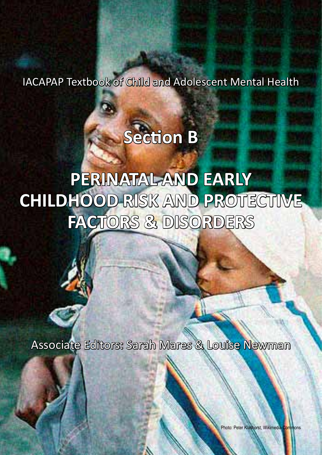IACAPAP Textbook of Child and Adolescent Mental Health

# **Section B**

# **PERINATAL AND EARLY CHILDHOOD RISK AND PROTECTIVE FACTORS & DISORDERS**

Associate Editors: Sarah Mares & Louise Newman

Photo: Peter Klashorst, Wikimedia Commons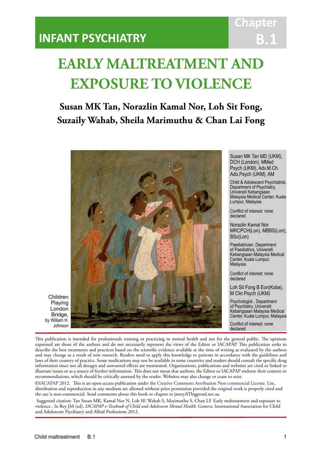### **INFANT PSYCHIATRY**

## **Chapter B.1**

## **EARLY MALTREATMENT AND EXPOSURE TO VIOLENCE**

IACAPAP Textbook of Child and Adolescent Mental Health

### **Susan MK Tan, Norazlin Kamal Nor, Loh Sit Fong, Suzaily Wahab, Sheila Marimuthu & Chan Lai Fong**



Susan MK Tan MD (UKM), DCH (London), MMed Psych (UKM), Adv.M.Ch. Ado.Psych (UKM), AM

Child & Adolescent Psychiatrist, Department of Psychiatry, Universiti Kebangsaan Malaysia Medical Center, Kuala Lumpur, Malaysia

Conflict of interest: none declared

Norazlin Kamal Nor MRCPCH(Lon), MBBS(Lon), BSc(Lon)

Paediatrician, Department of Paediatrics, Universiti Kebangsaan Malaysia Medical Center, Kuala Lumpur, Malaysia

Conflict of interest: none declared

Loh Sit Fong B Eon(Kobe), M Clin Psych (UKM)

Psychologist , Department of Psychiatry, Universiti Kebangsaan Malaysia Medical Center, Kuala Lumpur, Malaysia

Conflict of interest: none declared

This publication is intended for professionals training or practicing in mental health and not for the general public. The opinions expressed are those of the authors and do not necessarily represent the views of the Editor or IACAPAP. This publication seeks to describe the best treatments and practices based on the scientific evidence available at the time of writing as evaluated by the authors and may change as a result of new research. Readers need to apply this knowledge to patients in accordance with the guidelines and laws of their country of practice. Some medications may not be available in some countries and readers should consult the specific drug information since not all dosages and unwanted effects are mentioned. Organizations, publications and websites are cited or linked to illustrate issues or as a source of further information. This does not mean that authors, the Editor or IACAPAP endorse their content or recommendations, which should be critically assessed by the reader. Websites may also change or cease to exist.

[©IACAPAP](http://iacapap.org/) 2012. This is an open-access publication under the [Creative Commons Attribution Non-commercial License](http://creativecommons.org/licenses/by-nc/2.0/). Use, distribution and reproduction in any medium are allowed without prior permission provided the original work is properly cited and the use is non-commercial. Send comments about this book or chapter to jmreyATbigpond.net.au

 Suggested citation: Tan Susan MK, Kamal Nor N, Loh SF, Wahab S, Marimuthu S, Chan LF. Early maltreatment and exposure to violence.. In Rey JM (ed), *IACAPAP e-Textbook of Child and Adolescent Mental Health*. Geneva: International Association for Child and Adolescent Psychiatry and Allied Professions 2012.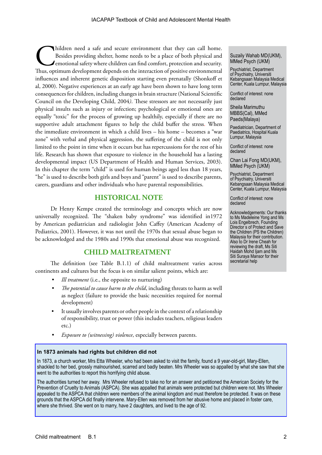Thildren need a safe and secure environment that they can call home.<br>
Besides providing shelter, home needs to be a place of both physical and<br>
emotional safety where children can find comfort, protection and security.<br>
Th Besides providing shelter, home needs to be a place of both physical and emotional safety where children can find comfort, protection and security. influences and inherent genetic disposition starting even prenatally (Shonkoff et al, 2000). Negative experiences at an early age have been shown to have long term consequences for children, including changes in brain structure (National Scientific Council on the Developing Child, 2004*)*. These stressors are not necessarily just physical insults such as injury or infection; psychological or emotional ones are equally "toxic" for the process of growing up healthily, especially if there are no supportive adult attachment figures to help the child buffer the stress. When the immediate environment in which a child lives – his home – becomes a "war zone" with verbal and physical aggression, the suffering of the child is not only limited to the point in time when it occurs but has repercussions for the rest of his life. Research has shown that exposure to violence in the household has a lasting developmental impact (US Department of Health and Human Services, 2003). In this chapter the term "child" is used for human beings aged less than 18 years, "he" is used to describe both girls and boys and "parent" is used to describe parents, carers, guardians and other individuals who have parental responsibilities.

#### **HISTORICAL NOTE**

Dr Henry Kempe created the terminology and concepts which are now universally recognized. The "shaken baby syndrome" was identified in1972 by American pediatrician and radiologist John Caffey (American Academy of Pediatrics, 2001). However, it was not until the 1970s that sexual abuse began to be acknowledged and the 1980s and 1990s that emotional abuse was recognized.

#### **CHILD MALTREATMENT**

The definition (see Table B.1.1) of child maltreatment varies across continents and cultures but the focus is on similar salient points, which are:

- *Ill treatment* (i.e., the opposite to nurturing)
- *• The potential to cause harm to the child*, including threats to harm as well as neglect (failure to provide the basic necessities required for normal development)
- It usually involves parents or other people in the context of a relationship of responsibility, trust or power (this includes teachers, religious leaders etc.)
- *Exposure to (witnessing) violence*, especially between parents.

#### **In 1873 animals had rights but children did not**

In 1873, a church worker, Mrs Etta Wheeler, who had been asked to visit the family, found a 9 year-old-girl, Mary-Ellen, shackled to her bed, grossly malnourished, scarred and badly beaten. Mrs Wheeler was so appalled by what she saw that she went to the authorities to report this horrifying child abuse.

The authorities turned her away. Mrs Wheeler refused to take no for an answer and petitioned the American Society for the Prevention of Cruelty to Animals (ASPCA). She was appalled that animals were protected but children were not. Mrs Wheeler appealed to the ASPCA that children were members of the animal kingdom and must therefore be protected. It was on these grounds that the ASPCA did finally intervene. Mary-Ellen was removed from her abusive home and placed in foster care, where she thrived. She went on to marry, have 2 daughters, and lived to the age of 92.

Suzaily Wahab MD(UKM), MMed Psych (UKM)

Psychiatrist, Department of Psychiatry, Universiti Kebangsaan Malaysia Medical Center, Kuala Lumpur, Malaysia

Conflict of interest: none declared

Sheila Marimuthu MBBS(Cal), MMed Paeds(Malaya)

Paediatrician, Department of Paediatrics, Hospital Kuala Lumpur, Malaysia

Conflict of interest: none declared

Chan Lai Fong MD(UKM), MMed Psych (UKM)

Psychiatrist, Department of Psychiatry, Universiti Kebangsaan Malaysia Medical Center, Kuala Lumpur, Malaysia

Conflict of interest: none declared

Acknowledgements: Our thanks to Ms Madeleine Yong and Ms Lois Engelbrech, Founding Director s of Protect and Save the Children (PS the Children) Malaysia for their contribution. Also to Dr Irene Cheah for reviewing the draft, Ms Siti Haidah Mohd Ijam and Ms Siti Suraya Mansor for their secretarial help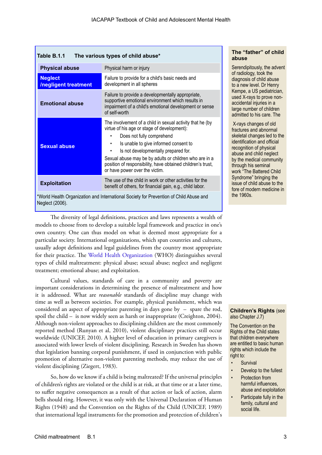| The various types of child abuse*<br>Table B.1.1                                                          |                                                                                                                                                                                                                                                                                                                                                                                             |  |
|-----------------------------------------------------------------------------------------------------------|---------------------------------------------------------------------------------------------------------------------------------------------------------------------------------------------------------------------------------------------------------------------------------------------------------------------------------------------------------------------------------------------|--|
| <b>Physical abuse</b>                                                                                     | Physical harm or injury                                                                                                                                                                                                                                                                                                                                                                     |  |
| <b>Neglect</b><br><b>Inegligent treatment</b>                                                             | Failure to provide for a child's basic needs and<br>development in all spheres                                                                                                                                                                                                                                                                                                              |  |
| <b>Emotional abuse</b>                                                                                    | Failure to provide a developmentally appropriate,<br>supportive emotional environment which results in<br>impairment of a child's emotional development or sense<br>of self-worth                                                                                                                                                                                                           |  |
| <b>Sexual abuse</b>                                                                                       | The involvement of a child in sexual activity that he (by<br>virtue of his age or stage of development):<br>Does not fully comprehend<br>Is unable to give informed consent to<br>٠<br>Is not developmentally prepared for.<br>٠<br>Sexual abuse may be by adults or children who are in a<br>position of responsibility, have obtained children's trust,<br>or have power over the victim. |  |
| <b>Exploitation</b>                                                                                       | The use of the child in work or other activities for the<br>benefit of others, for financial gain, e.g., child labor.                                                                                                                                                                                                                                                                       |  |
| *World Health Organization and International Society for Prevention of Child Abuse and<br>Neglect (2006). |                                                                                                                                                                                                                                                                                                                                                                                             |  |

The diversity of legal definitions, practices and laws represents a wealth of models to choose from to develop a suitable legal framework and practice in one's own country. One can thus model on what is deemed most appropriate for a particular society. International organizations, which span countries and cultures, usually adopt definitions and legal guidelines from the country most appropriate for their practice. The [World Health Organization]( http://www.who.int/topics/child_abuse/en/) (WHO) distinguishes several types of child maltreatment: physical abuse; sexual abuse; neglect and negligent treatment; emotional abuse; and exploitation.

Cultural values, standards of care in a community and poverty are important considerations in determining the presence of maltreatment and how it is addressed. What are *reasonable* standards of discipline may change with time as well as between societies. For example, physical punishment, which was considered an aspect of appropriate parenting in days gone by – spare the rod, spoil the child – is now widely seen as harsh or inappropriate (Creighton, 2004). Although non-violent approaches to disciplining children are the most commonly reported method (Runyan et al, 2010), violent disciplinary practices still occur worldwide (UNICEF, 2010). A higher level of education in primary caregivers is associated with lower levels of violent disciplining. Research in Sweden has shown that legislation banning corporal punishment, if used in conjunction with public promotion of alternative non-violent parenting methods, may reduce the use of violent disciplining (Ziegert, 1983).

So, how do we know if a child is being maltreated? If the universal principles of children's rights are violated or the child is at risk, at that time or at a later time, to suffer negative consequences as a result of that action or lack of action, alarm bells should ring. However, it was only with the Universal Declaration of Human Rights (1948) and the Convention on the Rights of the Child (UNICEF, 1989) that international legal instruments for the promotion and protection of children's

#### **The "father" of child abuse**

Serendipitously, the advent of radiology, took the diagnosis of child abuse to a new level. Dr Henry Kempe, a US pediatrician, used X-rays to prove nonaccidental injuries in a large number of children admitted to his care. The

 X-rays changes of old fractures and abnormal skeletal changes led to the identification and official recognition of physical abuse and child neglect by the medical community through his seminal work "The Battered Child Syndrome" bringing the issue of child abuse to the fore of modern medicine in the 1960s.

#### **Children's Rights** (see also Chapter J.7)

The Convention on the Rights of the Child states that children everywhere are entitled to basic human rights which include the right to:

- **Survival**
- Develop to the fullest
- Protection from harmful influences, abuse and exploitation
- Participate fully in the family, cultural and social life.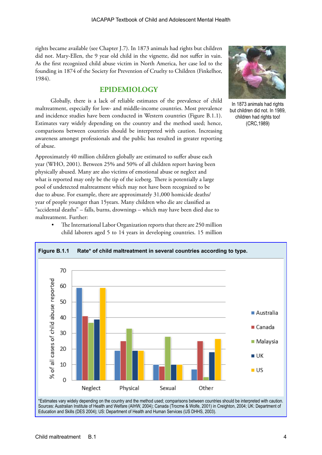rights became available (see Chapter J.7). In 1873 animals had rights but children did not. Mary-Ellen, the 9 year old child in the vignette, did not suffer in vain. As the first recognized child abuse victim in North America, her case led to the founding in 1874 of the Society for Prevention of Cruelty to Children (Finkelhor, 1984).

#### **EPIDEMIOLOGY**

Globally, there is a lack of reliable estimates of the prevalence of child maltreatment, especially for low- and middle-income countries. Most prevalence and incidence studies have been conducted in Western countries (Figure B.1.1). Estimates vary widely depending on the country and the method used; hence, comparisons between countries should be interpreted with caution. Increasing awareness amongst professionals and the public has resulted in greater reporting of abuse.

Approximately 40 million children globally are estimated to suffer abuse each year (WHO, 2001). Between 25% and 50% of all children report having been physically abused. Many are also victims of emotional abuse or neglect and what is reported may only be the tip of the iceberg. There is potentially a large pool of undetected maltreatment which may not have been recognized to be due to abuse. For example, there are approximately 31,000 homicide deaths/ year of people younger than 15years. Many children who die are classified as "accidental deaths" – falls, burns, drownings – which may have been died due to maltreatment. Further:



In 1873 animals had rights but children did not. In 1989, children had rights too! (CRC,1989)



The International Labor Organization reports that there are 250 million child laborers aged 5 to 14 years in developing countries. 15 million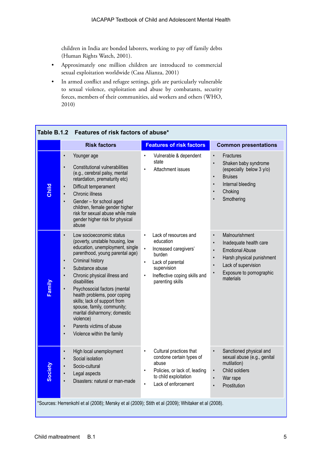children in India are bonded laborers, working to pay off family debts (Human Rights Watch, 2001).

- Approximately one million children are introduced to commercial sexual exploitation worldwide (Casa Alianza, 2001)
- In armed conflict and refugee settings, girls are particularly vulnerable to sexual violence, exploitation and abuse by combatants, security forces, members of their communities, aid workers and others (WHO, 2010)

| Table B.1.2<br>Features of risk factors of abuse*                                                 |                                                                                                                                                                                                                                                                                                                                                                                                                                                               |                                                                                                                                                                                                                   |                                                                                                                                                                                                                                  |
|---------------------------------------------------------------------------------------------------|---------------------------------------------------------------------------------------------------------------------------------------------------------------------------------------------------------------------------------------------------------------------------------------------------------------------------------------------------------------------------------------------------------------------------------------------------------------|-------------------------------------------------------------------------------------------------------------------------------------------------------------------------------------------------------------------|----------------------------------------------------------------------------------------------------------------------------------------------------------------------------------------------------------------------------------|
|                                                                                                   | <b>Risk factors</b>                                                                                                                                                                                                                                                                                                                                                                                                                                           | <b>Features of risk factors</b>                                                                                                                                                                                   | <b>Common presentations</b>                                                                                                                                                                                                      |
| $\bullet$<br>Child<br>$\bullet$<br>$\bullet$<br>$\bullet$                                         | Younger age<br>Constitutional vulnerabilities<br>(e.g., cerebral palsy, mental<br>retardation, prematurity etc)<br>Difficult temperament<br>Chronic illness<br>Gender - for school aged<br>children, female gender higher<br>risk for sexual abuse while male<br>gender higher risk for physical<br>abuse                                                                                                                                                     | Vulnerable & dependent<br>$\bullet$<br>state<br>Attachment issues<br>$\bullet$                                                                                                                                    | Fractures<br>$\bullet$<br>Shaken baby syndrome<br>(especially below 3 y/o)<br><b>Bruises</b><br>$\bullet$<br>Internal bleeding<br>$\bullet$<br>Choking<br>Smothering<br>$\bullet$                                                |
| $\bullet$<br>$\bullet$<br>$\bullet$<br>$\bullet$<br>Family<br>$\bullet$<br>$\bullet$<br>$\bullet$ | Low socioeconomic status<br>(poverty, unstable housing, low<br>education, unemployment, single<br>parenthood, young parental age)<br>Criminal history<br>Substance abuse<br>Chronic physical illness and<br>disabilities<br>Psychosocial factors (mental<br>health problems, poor coping<br>skills; lack of support from<br>spouse, family, community;<br>marital disharmony; domestic<br>violence)<br>Parents victims of abuse<br>Violence within the family | Lack of resources and<br>$\bullet$<br>education<br>$\bullet$<br>Increased caregivers'<br>burden<br>Lack of parental<br>$\bullet$<br>supervision<br>Ineffective coping skills and<br>$\bullet$<br>parenting skills | Malnourishment<br>$\bullet$<br>Inadequate health care<br><b>Emotional Abuse</b><br>$\bullet$<br>Harsh physical punishment<br>$\bullet$<br>Lack of supervision<br>$\bullet$<br>Exposure to pornographic<br>$\bullet$<br>materials |
| $\bullet$<br>$\bullet$<br>Society<br>$\bullet$<br>$\bullet$<br>$\bullet$                          | High local unemployment<br>Social isolation<br>Socio-cultural<br>Legal aspects<br>Disasters: natural or man-made                                                                                                                                                                                                                                                                                                                                              | Cultural practices that<br>$\bullet$<br>condone certain types of<br>abuse<br>Policies, or lack of, leading<br>$\bullet$<br>to child exploitation<br>Lack of enforcement<br>$\bullet$                              | Sanctioned physical and<br>sexual abuse (e.g., genital<br>mutilation)<br>Child soldiers<br>$\bullet$<br>War rape<br>$\bullet$<br>Prostitution                                                                                    |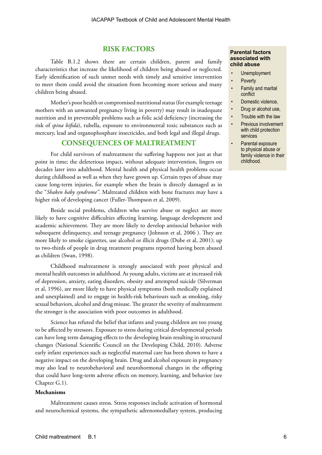#### **RISK FACTORS**

Table B.1.2 shows there are certain children, parent and family characteristics that increase the likelihood of children being abused or neglected. Early identification of such unmet needs with timely and sensitive intervention to meet them could avoid the situation from becoming more serious and many children being abused.

Mother's poor health or compromised nutritional status (for example teenage mothers with an unwanted pregnancy living in poverty) may result in inadequate nutrition and in preventable problems such as folic acid deficiency (increasing the risk of *spina bifida*), rubella, exposure to environmental toxic substances such as mercury, lead and organophosphate insecticides, and both legal and illegal drugs.

#### **CONSEQUENCES OF MALTREATMENT**

For child survivors of maltreatment the suffering happens not just at that point in time; the deleterious impact, without adequate intervention, lingers on decades later into adulthood. Mental health and physical health problems occur during childhood as well as when they have grown up. Certain types of abuse may cause long-term injuries, for example when the brain is directly damaged as in the "*Shaken baby syndrome".* Maltreated children with bone fractures may have a higher risk of developing cancer (Fuller-Thompson et al, 2009).

Beside social problems, children who survive abuse or neglect are more likely to have cognitive difficulties affecting learning, language development and academic achievement. They are more likely to develop antisocial behavior with subsequent delinquency, and teenage pregnancy (Johnson et al, 2006 ). They are more likely to smoke cigarettes, use alcohol or illicit drugs (Dube et al, 2001); up to two-thirds of people in drug treatment programs reported having been abused as children (Swan, 1998).

Childhood maltreatment is strongly associated with poor physical and mental health outcomes in adulthood. As young adults, victims are at increased risk of depression, anxiety, eating disorders, obesity and attempted suicide (Silverman et al, 1996), are more likely to have physical symptoms (both medically explained and unexplained) and to engage in health-risk behaviours such as smoking, risky sexual behaviors, alcohol and drug misuse. The greater the severity of maltreatment the stronger is the association with poor outcomes in adulthood.

Science has refuted the belief that infants and young children are too young to be affected by stressors. Exposure to stress during critical developmental periods can have long term damaging effects to the developing brain resulting in structural changes (National Scientific Council on the Developing Child, 2010). Adverse early infant experiences such as neglectful maternal care has been shown to have a negative impact on the developing brain. Drug and alcohol exposure in pregnancy may also lead to neurobehavioral and neurohormonal changes in the offspring that could have long-term adverse effects on memory, learning, and behavior (see Chapter G.1).

#### **Mechanisms**

Maltreatment causes stress. Stress responses include activation of hormonal and neurochemical systems, the sympathetic adrenomedullary system, producing

#### **Parental factors associated with child abuse**

- **Unemployment**
- **Poverty**
- Family and marital conflict
- Domestic violence,
- Drug or alcohol use,
- Trouble with the law
- Previous involvement with child protection services
- Parental exposure to physical abuse or family violence in their childhood.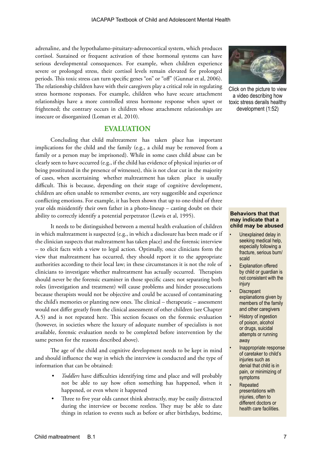adrenaline, and the hypothalamo-pituitary-adrenocortical system, which produces cortisol. Sustained or frequent activation of these hormonal systems can have serious developmental consequences. For example, when children experience severe or prolonged stress, their cortisol levels remain elevated for prolonged periods. This toxic stress can turn specific genes "on" or "off" (Gunnar et al, 2006). The relationship children have with their caregivers play a critical role in regulating stress hormone responses. For example, children who have secure attachment relationships have a more controlled stress hormone response when upset or frightened; the contrary occurs in children whose attachment relationships are insecure or disorganized (Loman et al, 2010).

#### **EVALUATION**

Concluding that child maltreatment has taken place has important implications for the child and the family (e.g., a child may be removed from a family or a person may be imprisoned). While in some cases child abuse can be clearly seen to have occurred (e.g., if the child has evidence of physical injuries or of being prostituted in the presence of witnesses), this is not clear cut in the majority of cases, when ascertaining whether maltreatment has taken place is usually difficult. This is because, depending on their stage of cognitive development, children are often unable to remember events, are very suggestible and experience conflicting emotions. For example, it has been shown that up to one-third of three year olds misidentify their own father in a photo-lineup – casting doubt on their ability to correctly identify a potential perpetrator (Lewis et al, 1995).

It needs to be distinguished between a mental health evaluation of children in which maltreatment is suspected (e.g., in which a disclosure has been made or if the clinician suspects that maltreatment has taken place) and the forensic interview – to elicit facts with a view to legal action. Optimally, once clinicians form the view that maltreatment has occurred, they should report it to the appropriate authorities according to their local law; in these circumstances it is not the role of clinicians to investigate whether maltreatment has actually occurred. Therapists should never be the forensic examiner in those specific cases; not separating both roles (investigation and treatment) will cause problems and hinder prosecutions because therapists would not be objective and could be accused of contaminating the child's memories or planting new ones. The clinical – therapeutic – assessment would not differ greatly from the clinical assessment of other children (see Chapter A.5) and is not repeated here. This section focuses on the forensic evaluation (however, in societies where the luxury of adequate number of specialists is not available, forensic evaluation needs to be completed before intervention by the same person for the reasons described above).

The age of the child and cognitive development needs to be kept in mind and should influence the way in which the interview is conducted and the type of information that can be obtained:

- *• Toddlers* have difficulties identifying time and place and will probably not be able to say how often something has happened, when it happened, or even where it happened
- Three to five year olds cannot think abstractly, may be easily distracted during the interview or become restless. They may be able to date things in relation to events such as before or after birthdays, bedtime,



Click on the picture to view a video describing how toxic stress derails healthy development (1:52)

#### **Behaviors that that may indicate that a child may be abused**

- Unexplained delay in seeking medical help, especially following a fracture, serious burn/ scald
- **Explanation offered** by child or guardian is not consistent with the injury
- **Discrepant** explanations given by members of the family and other caregivers
- **History of ingestion** of poison, alcohol or drugs, suicidal attempts or running away
- Inappropriate response of caretaker to child's injuries such as denial that child is in pain, or minimizing of symptoms
- Repeated presentations with injuries, often to different doctors or health care facilities.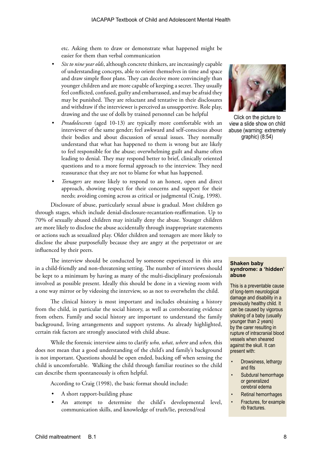etc. Asking them to draw or demonstrate what happened might be easier for them than verbal communication

- *• Six to nine year olds*, although concrete thinkers, are increasingly capable of understanding concepts, able to orient themselves in time and space and draw simple floor plans. They can deceive more convincingly than younger children and are more capable of keeping a secret. They usually feel conflicted, confused, guilty and embarrassed, and may be afraid they may be punished. They are reluctant and tentative in their disclosures and withdraw if the interviewer is perceived as unsupportive. Role play, drawing and the use of dolls by trained personnel can be helpful
- *• Preadolescents* (aged 10-13) are typically more comfortable with an interviewer of the same gender; feel awkward and self-conscious about their bodies and about discussion of sexual issues. They normally understand that what has happened to them is wrong but are likely to feel responsible for the abuse; overwhelming guilt and shame often leading to denial. They may respond better to brief, clinically oriented questions and to a more formal approach to the interview. They need reassurance that they are not to blame for what has happened.
- *• Teenagers* are more likely to respond to an honest, open and direct approach, showing respect for their concerns and support for their needs; avoiding coming across as critical or judgmental (Craig, 1998).

Disclosure of abuse, particularly sexual abuse is gradual. Most children go through stages, which include denial-disclosure-recantation-reaffirmation. Up to 70% of sexually abused children may initially deny the abuse. Younger children are more likely to disclose the abuse accidentally through inappropriate statements or actions such as sexualized play. Older children and teenagers are more likely to disclose the abuse purposefully because they are angry at the perpetrator or are influenced by their peers.

The interview should be conducted by someone experienced in this area in a child-friendly and non-threatening setting. The number of interviews should be kept to a minimum by having as many of the multi-disciplinary professionals involved as possible present. Ideally this should be done in a viewing room with a one way mirror or by videoing the interview, so as not to overwhelm the child.

The clinical history is most important and includes obtaining a history from the child, in particular the social history, as well as corroborating evidence from others. Family and social history are important to understand the family background, living arrangements and support systems. As already highlighted, certain risk factors are strongly associated with child abuse.

While the forensic interview aims to clarify *who, what, where* and *when,* this does not mean that a good understanding of the child's and family's background is not important. Questions should be open ended, backing off when sensing the child is uncomfortable. Walking the child through familiar routines so the child can describe them spontaneously is often helpful.

According to Craig (1998), the basic format should include:

- A short rapport-building phase
- An attempt to determine the child's developmental level, communication skills, and knowledge of truth/lie, pretend/real



Click on the picture to view a slide show on child abuse (warning: extremely graphic) (8:54)

#### **Shaken baby syndrome: a 'hidden' abuse**

This is a preventable cause of long-term neurological damage and disability in a previously healthy child. It can be caused by vigorous shaking of a baby (usually younger than 2 years) by the carer resulting in rupture of intracranial blood vessels when sheared against the skull. It can present with:

- Drowsiness, lethargy and fits
- Subdural hemorrhage or generalized cerebral edema
- Retinal hemorrhages
- Fractures, for example rib fractures.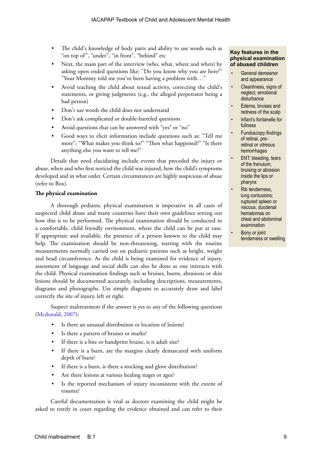- The child's knowledge of body parts and ability to use words such as "on top of", "under", "in front", "behind" etc
- Next, the main part of the interview (who, what, where and when) by asking open ended questions like: "Do you know why you are here?" "Your Mommy told me you've been having a problem with…"
- Avoid teaching the child about sexual activity, correcting the child's statements, or giving judgments (e.g., the alleged perpetrator being a bad person)
- Don't use words the child does not understand
- Don't ask complicated or double-barreled questions
- Avoid questions that can be answered with "yes" or "no"
- Good ways to elicit information include questions such as: "Tell me more"; "What makes you think so?" "Then what happened?" "Is there anything else you want to tell me?"

Details that need elucidating include events that preceded the injury or abuse, when and who first noticed the child was injured, how the child's symptoms developed and in what order. Certain circumstances are highly suspicious of abuse (refer to Box).

#### **The physical examination**

A thorough pediatric physical examination is imperative in all cases of suspected child abuse and many countries have their own guidelines setting out how this is to be performed. The physical examination should be conducted in a comfortable, child friendly environment, where the child can be put at ease. If appropriate and available, the presence of a person known to the child may help. The examination should be non-threatening, starting with the routine measurements normally carried out on pediatric patients such as height, weight and head circumference. As the child is being examined for evidence of injury, assessment of language and social skills can also be done as one interacts with the child. Physical examination findings such as bruises, burns, abrasions or skin lesions should be documented accurately, including descriptions, measurements, diagrams and photographs. Use simple diagrams to accurately draw and label correctly the site of injury, left or right.

Suspect maltreatment if the answer is yes to any of the following questions ([Mcdonald, 2007\)](http://www.aafp.org/afp/2007/0115/p221.html):

- Is there an unusual distribution or location of lesions?
- Is there a pattern of bruises or marks?
- If there is a bite or handprint bruise, is it adult size?
- If there is a burn, are the margins clearly demarcated with uniform depth of burn?
- If there is a burn, is there a stocking and glove distribution?
- Are there lesions at various healing stages or ages?
- Is the reported mechanism of injury inconsistent with the extent of trauma?

Careful documentation is vital as doctors examining the child might be asked to testify in court regarding the evidence obtained and can refer to their

#### **Key features in the physical examination of abused children**

- General demeanor and appearance
- Cleanliness, signs of neglect, emotional disturbance
- Edema, bruises and redness of the scalp
- Infant's fontanelle for fullness
- Fundoscopy findings of retinal, preretinal or vitreous hemorrhages
- **ENT: bleeding, tears** of the frenulum, bruising or abrasion inside the lips or pharynx
- Rib tenderness. lung contusions; ruptured spleen or viscous, duodenal hematomas on chest and abdominal examination
- Bony or joint tenderness or swelling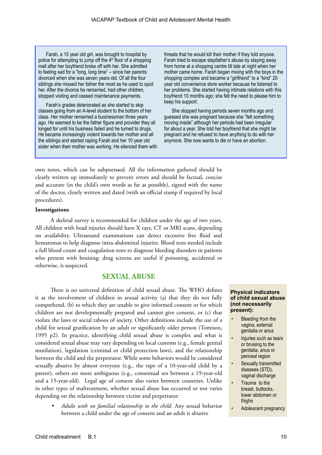Farah, a 15 year old girl, was brought to hospital by police for attempting to jump off the  $4<sup>th</sup>$  floor of a shopping mall after her boyfriend broke off with her. She admitted to feeling sad for a "long, long time" – since her parents divorced when she was seven years old. Of all the four siblings she missed her father the most as he used to spoil her. After the divorce he remarried, had other children, stopped visiting and ceased maintenance payments.

Farah's grades deteriorated as she started to skip classes going from an A-level student to the bottom of her class. Her mother remarried a businessman three years ago. He seemed to be the father figure and provider they all longed for until his business failed and he turned to drugs. He became increasingly violent towards her mother and all the siblings and started raping Farah and her 10 year old sister when their mother was working. He silenced them with

threats that he would kill their mother if they told anyone. Farah tried to escape stepfather's abuse by staying away from home at a shopping centre till late at night when her mother came home. Farah began mixing with the boys in the shopping complex and became a "girlfriend" to a "kind" 20 year old convenience store worker because he listened to her problems. She started having intimate relations with this boyfriend 10 months ago; she felt the need to please him to keep his support.

She stopped having periods seven months ago and guessed she was pregnant because she "felt something moving inside" although her periods had been irregular for about a year. She told her boyfriend that she might be pregnant and he refused to have anything to do with her anymore. She now wants to die or have an abortion.

own notes, which can be subpoenaed. All the information gathered should be clearly written up immediately to prevent errors and should be factual, concise and accurate (in the child's own words as far as possible), signed with the name of the doctor, clearly written and dated (with an official stamp if required by local procedures).

#### **Investigations**

A skeletal survey is recommended for children under the age of two years. All children with head injuries should have X rays, CT or MRI scans, depending on availability. Ultrasound examinations can detect excessive free fluid and hematomas to help diagnose intra-abdominal injuries. Blood tests needed include a full blood count and coagulation tests to diagnose bleeding disorders in patients who present with bruising; drug screens are useful if poisoning, accidental or otherwise, is suspected.

#### **SEXUAL ABUSE**

There is no universal definition of child sexual abuse. The WHO defines it as the involvement of children in sexual activity (a) that they do not fully comprehend, (b) to which they are unable to give informed consent or for which children are not developmentally prepared and cannot give consent, or (c) that violate the laws or social taboos of society. Other definitions include the use of a child for sexual gratification by an adult or significantly older person (Tomison, 1995 p2). In practice, identifying child sexual abuse is complex and what is considered sexual abuse may vary depending on local customs (e.g., female genital mutilation), legislation (criminal or child protection laws), and the relationship between the child and the perpetrator. While some behaviors would be considered sexually abusive by almost everyone (e.g., the rape of a 10-year-old child by a parent), others are more ambiguous (e.g., consensual sex between a 19-year-old and a 15-year-old). Legal age of consent also varies between countries. Unlike in other types of maltreatment, whether sexual abuse has occurred or not varies depending on the relationship between victim and perpetrator:

*• Adults with no familial relationship to the child*. Any sexual behavior between a child under the age of consent and an adult is abusive

#### **Physical indicators of child sexual abuse (not necessarily present):**

- **Bleeding from the** vagina, external genitalia or anus
- Injuries such as tears or bruising to the genitalia, anus or perineal region
- Sexually transmitted diseases (STD), vaginal discharge
- Trauma to the breast, buttocks, lower abdomen or thighs
- Adolescent pregnancy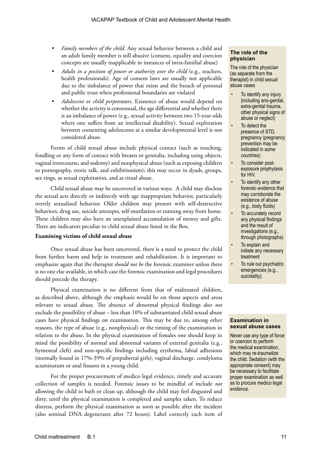- *• Family members of the child*. Any sexual behavior between a child and an adult family member is still abusive (consent, equality and coercion concepts are usually inapplicable in instances of intra-familial abuse)
- *• Adults in a position of power or authority over the child* (e.g., teachers, health professionals). Age of consent laws are usually not applicable due to the imbalance of power that exists and the breach of personal and public trust when professional boundaries are violated
- *• Adolescent or child perpetrators*. Existence of abuse would depend on whether the activity is consensual, the age differential and whether there is an imbalance of power (e.g., sexual activity between two 15-year-olds where one suffers from an intellectual disability). Sexual exploration between consenting adolescents at a similar developmental level is not considered abuse.

Forms of child sexual abuse include physical contact (such as touching, fondling or any form of contact with breasts or genitalia, including using objects, vaginal intercourse, and sodomy) and nonphysical abuse (such as exposing children to pornography, erotic talk, and exhibitionism); this may occur in dyads, groups, sex rings, as sexual exploitation, and as ritual abuse.

Child sexual abuse may be uncovered in various ways. A child may disclose the sexual acts directly or indirectly with age inappropriate behavior, particularly overtly sexualized behavior. Older children may present with self-destructive behaviors, drug use, suicide attempts, self-mutilation or running away from home. These children may also have an unexplained accumulation of money and gifts. There are indicators peculiar to child sexual abuse listed in the Box.

#### **Examining victims of child sexual abuse**

Once sexual abuse has been uncovered, there is a need to protect the child from further harm and help in treatment and rehabilitation. It is important to emphasize again that the therapist *should not be* the forensic examiner unless there is no one else available, in which case the forensic examination and legal procedures should precede the therapy.

Physical examination is no different from that of maltreated children, as described above, although the emphasis would be on those aspects and areas relevant to sexual abuse. The absence of abnormal physical findings *does not* exclude the possibility of abuse – less than 10% of substantiated child sexual abuse cases have physical findings on examination. This may be due to, among other reasons, the type of abuse (e.g., nonphysical) or the timing of the examination in relation to the abuse. In the physical examination of females one should keep in mind the possibility of normal and abnormal variants of external genitalia (e.g., hymeneal cleft) and non-specific findings including erythema, labial adhesions (normally found in 17%-39% of prepubertal girls), vaginal discharge, condyloma acuminatum or anal fissures in a young child.

For the proper procurement of medico legal evidence, timely and accurate collection of samples is needed. Forensic issues to be mindful of include *not* allowing the child to bath or clean up, although the child may feel disgusted and dirty, until the physical examination is completed and samples taken. To reduce distress, perform the physical examination as soon as possible after the incident (also seminal DNA degenerates after 72 hours). Label correctly each item of

#### **The role of the physician**

The role of the physician (as separate from the therapist) in child sexual abuse cases

- To identify any injury (including ano-genital, extra-genital trauma, other physical signs of abuse or neglect)
- To detect the presence of STD, pregnancy (pregnancy prevention may be indicated in some countries)
- To consider postexposure prophylaxis for HIV.
- To identify any other forensic evidence that may corroborate the existence of abuse (e.g., body fluids)
- To accurately record any physical findings and the result of investigations (e.g., through photographs)
- To explain and initiate any necessary treatment
- To rule out psychiatric emergencies (e.g., suicidality).

#### **Examination in sexual abuse cases**

Never use any type of force or coercion to perform the medical examination, which may re-traumatize the child. Sedation (with the appropriate consent) may be necessary to facilitate proper examination as well as to procure medico legal evidence.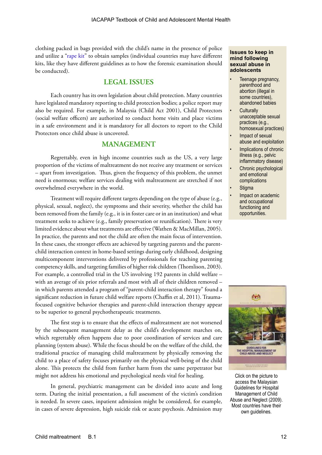clothing packed in bags provided with the child's name in the presence of police and utilize a ["rape kit](http://www.rainn.org/get-information/sexual-assault-recovery/rape-kit)" to obtain samples (individual countries may have different kits, like they have different guidelines as to how the forensic examination should be conducted).

#### **LEGAL ISSUES**

Each country has its own legislation about child protection. Many countries have legislated mandatory reporting to child protection bodies; a police report may also be required. For example, in Malaysia (Child Act 2001), Child Protectors (social welfare officers) are authorized to conduct home visits and place victims in a safe environment and it is mandatory for all doctors to report to the Child Protectors once child abuse is uncovered.

#### **MANAGEMENT**

Regrettably, even in high income countries such as the US, a very large proportion of the victims of maltreatment do not receive any treatment or services – apart from investigation. Thus, given the frequency of this problem, the unmet need is enormous; welfare services dealing with maltreatment are stretched if not overwhelmed everywhere in the world.

Treatment will require different targets depending on the type of abuse (e.g., physical, sexual, neglect), the symptoms and their severity, whether the child has been removed from the family (e.g., it is in foster care or in an institution) and what treatment seeks to achieve (e.g., family preservation or reunification). There is very limited evidence about what treatments are effective (Wathen & MacMillan, 2005). In practice, the parents and not the child are often the main focus of intervention. In these cases, the stronger effects are achieved by targeting parents and the parentchild interaction context in home-based settings during early childhood, designing multicomponent interventions delivered by professionals for teaching parenting competency skills, and targeting families of higher risk children (Thomlison, 2003). For example, a controlled trial in the US involving 192 parents in child welfare – with an average of six prior referrals and most with all of their children removed – in which parents attended a program of "parent-child interaction therapy" found a significant reduction in future child welfare reports (Chaffin et al, 2011). Traumafocused cognitive behavior therapies and parent-child interaction therapy appear to be superior to general psychotherapeutic treatments.

The first step is to ensure that the effects of maltreatment are not worsened by the subsequent management delay as the child's development marches on, which regrettably often happens due to poor coordination of services and care planning (system abuse). While the focus should be on the welfare of the child, the traditional practice of managing child maltreatment by physically removing the child to a place of safety focuses primarily on the physical well-being of the child alone. This protects the child from further harm from the same perpetrator but might not address his emotional and psychological needs vital for healing.

In general, psychiatric management can be divided into acute and long term. During the initial presentation, a full assessment of the victim's condition is needed. In severe cases, inpatient admission might be considered, for example, in cases of severe depression, high suicide risk or acute psychosis. Admission may

#### **Issues to keep in mind following sexual abuse in adolescents**

- Teenage pregnancy, parenthood and abortion (illegal in some countries), abandoned babies
- **Culturally** unacceptable sexual practices (e.g., homosexual practices)
- Impact of sexual abuse and exploitation
- Implications of chronic illness (e.g., pelvic inflammatory disease)
- Chronic psychological and emotional complications
- **Stigma**
- Impact on academic and occupational functioning and opportunities.



Click on the picture to access the Malaysian Guidelines for Hospital Management of Child Abuse and Neglect (2009). Most countries have their own guidelines.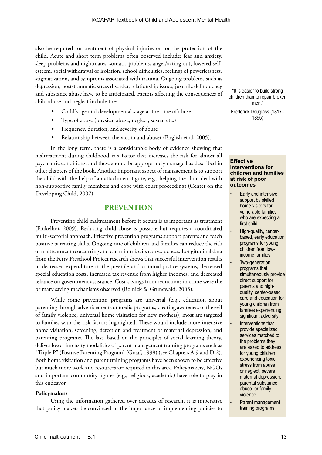also be required for treatment of physical injuries or for the protection of the child. Acute and short term problems often observed include: fear and anxiety, sleep problems and nightmares, somatic problems, anger/acting out, lowered selfesteem, social withdrawal or isolation, school difficulties, feelings of powerlessness, stigmatization, and symptoms associated with trauma. Ongoing problems such as depression, post-traumatic stress disorder, relationship issues, juvenile delinquency and substance abuse have to be anticipated. Factors affecting the consequences of child abuse and neglect include the:

- Child's age and developmental stage at the time of abuse
- Type of abuse (physical abuse, neglect, sexual etc.)
- Frequency, duration, and severity of abuse
- Relationship between the victim and abuser (English et al, 2005).

In the long term, there is a considerable body of evidence showing that maltreatment during childhood is a factor that increases the risk for almost all psychiatric conditions, and these should be appropriately managed as described in other chapters of the book. Another important aspect of management is to support the child with the help of an attachment figure, e.g., helping the child deal with non-supportive family members and cope with court proceedings (Center on the Developing Child, 2007).

#### **PREVENTION**

Preventing child maltreatment before it occurs is as important as treatment (Finkelhor, 2009). Reducing child abuse is possible but requires a coordinated multi-sectorial approach. Effective prevention programs support parents and teach positive parenting skills. Ongoing care of children and families can reduce the risk of maltreatment reoccurring and can minimize its consequences. Longitudinal data from the Perry Preschool Project research shows that successful intervention results in decreased expenditure in the juvenile and criminal justice systems, decreased special education costs, increased tax revenue from higher incomes, and decreased reliance on government assistance. Cost-savings from reductions in crime were the primary saving mechanisms observed (Rolnick & Grunewald, 2003).

While some prevention programs are universal (e.g., education about parenting through advertisements or media programs, creating awareness of the evil of family violence, universal home visitation for new mothers), most are targeted to families with the risk factors highlighted. These would include more intensive home visitation, screening, detection and treatment of maternal depression, and parenting programs. The last, based on the principles of social learning theory, deliver lower intensity modalities of parent management training programs such as "Triple P" (Positive Parenting Program) (Graaf, 1998) (see Chapters A.9 and D.2). Both home visitation and parent training programs have been shown to be effective but much more work and resources are required in this area. Policymakers, NGOs and important community figures (e.g., religious, academic) have role to play in this endeavor.

#### **Policymakers**

Using the information gathered over decades of research, it is imperative that policy makers be convinced of the importance of implementing policies to

"It is easier to build strong children than to repair broken men."

Frederick Douglass (1817– 1895)

#### **Effective interventions for children and families at risk of poor outcomes**

- Early and intensive support by skilled home visitors for vulnerable families who are expecting a first child
- High-quality, centerbased, early education programs for young children from lowincome families
- Two-generation programs that simultaneously provide direct support for parents and highquality, center-based care and education for young children from families experiencing significant adversity
- Interventions that provide specialized services matched to the problems they are asked to address for young children experiencing toxic stress from abuse or neglect, severe maternal depression, parental substance abuse, or family violence
- Parent management training programs.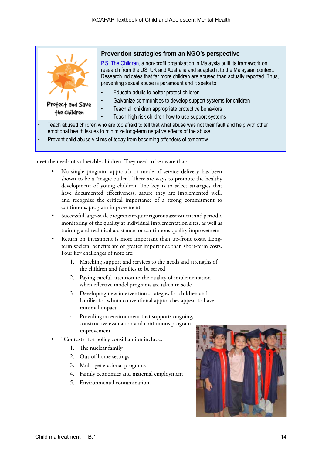

meet the needs of vulnerable children. They need to be aware that:

- No single program, approach or mode of service delivery has been shown to be a "magic bullet". There are ways to promote the healthy development of young children. The key is to select strategies that have documented effectiveness, assure they are implemented well, and recognize the critical importance of a strong commitment to continuous program improvement
- Successful large-scale programs require rigorous assessment and periodic monitoring of the quality at individual implementation sites, as well as training and technical assistance for continuous quality improvement
- Return on investment is more important than up-front costs. Longterm societal benefits are of greater importance than short-term costs. Four key challenges of note are:
	- 1. Matching support and services to the needs and strengths of the children and families to be served
	- 2. Paying careful attention to the quality of implementation when effective model programs are taken to scale
	- 3. Developing new intervention strategies for children and families for whom conventional approaches appear to have minimal impact
	- 4. Providing an environment that supports ongoing, constructive evaluation and continuous program improvement
	- "Contexts" for policy consideration include:
		- 1. The nuclear family
		- 2. Out-of-home settings
		- 3. Multi-generational programs
		- 4. Family economics and maternal employment
		- 5. Environmental contamination.

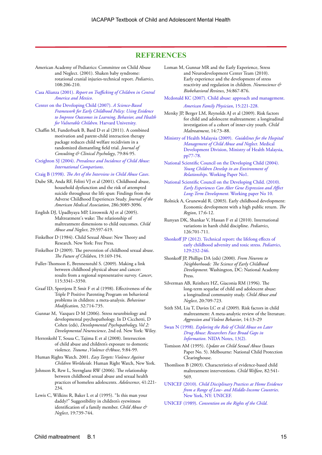#### **REFERENCES**

- American Academy of Pediatrics: Committee on Child Abuse and Neglect. (2001). Shaken baby syndrome: rotational cranial injuries-technical report. *Pediatrics*, 108:206-210.
- Casa Alianza (2001). *[Report on Trafficking of Children in Central]( http://www.casa-alianza.org)  [America and Mexico]( http://www.casa-alianza.org)*.
- [Center on the Developing Child \(2007\).](http://www.developingchild.harvard.edu) *A Science-Based [Framework for Early Childhood Policy: Using Evidence](http://www.developingchild.harvard.edu)  [to Improve Outcomes in Learning, Behavior, and Health](http://www.developingchild.harvard.edu)  [for Vulnerable Children](http://www.developingchild.harvard.edu)*. Harvard University.
- Chaffin M, Funderburk B, Bard D et al (2011). A combined motivation and parent-child interaction therapy package reduces child welfare recidivism in a randomized dismantling field trial. *Journal of Consulting & Clinical Psychology*, 79:84-95.

Creighton SJ (2004). *[Prevalence and Incidence of Child Abuse:](http://www.nspcc.org.uk/Inform/research/briefings/prevalenceandincidenceofchildabuse_wda48217.html)  [International Comparisons](http://www.nspcc.org.uk/Inform/research/briefings/prevalenceandincidenceofchildabuse_wda48217.html)*.

#### Craig B (1998). *[The Art of the Interview in Child Abuse Cases](http://www.nccpeds.com/powerpoints/interview.html)*.

- Dube SR, Anda RF, Felitti VJ et al (2001). Childhood abuse, household dysfunction and the risk of attempted suicide throughout the life span: Findings from the Adverse Childhood Experiences Study. *Journal of the American Medical Association*, 286:3089-3096.
- English DJ, Upadhyaya MP, Litrownik AJ et al (2005). Maltreatment's wake: The relationship of maltreatment dimensions to child outcomes. *Child Abuse and Neglect*, 29:597-619.
- Finkelhor D (1984). Child Sexual Abuse: New Theory and Research. New York: Free Press.
- Finkelhor D (2009). The prevention of childhood sexual abuse. *The Future of Children*, 19:169-194.
- Fuller-Thomson E, Brennenstuhl S. (2009). Making a link between childhood physical abuse and cancer: results from a regional representative survey. *Cancer*, 115:3341–3350.
- Graaf ID, Speetjens P, Smit F et al (1998). Effectiveness of the Triple P Positive Parenting Program on behavioral problems in children: a meta-analysis. *Behaviour Modification,* 32:714-735.
- Gunnar M, Vazquez D M (2006). Stress neurobiology and developmental psychopathology. In D Cicchetti, D Cohen (eds), *Developmental Psychopathology, Vol 2: Developmental Neuroscience*, 2nd ed. New York: Wiley.
- Herrenkohl T, Sousa C, Tajima E et al (2008). Intersection of child abuse and children's exposure to domestic violence. *Trauma ,Violence &Abuse*, 9:84-99.
- Human Rights Watch. 2001. *Easy Targets: Violence Against Children Worldwide*. Human Right Watch, New York.
- Johnson R, Rew L, Sternglanz RW (2006). The relationship between childhood sexual abuse and sexual health practices of homeless adolescents. *Adolescence*, 41:221- 234.
- Lewis C, Wilkins R, Baker L et al (1995). "Is this man your daddy?" Suggestibility in children's eyewitness identification of a family member. *Child Abuse & Neglect*, 19:739-744.

Loman M, Gunnar MR and the Early Experience, Stress and Neurodevelopment Center Team (2010). Early experience and the development of stress reactivity and regulation in children. *Neuroscience & Biobehavioral Reviews*, 34:867-876.

[Mcdonald KC \(2007\). Child abuse: approach and management.](http://www.aafp.org/afp/2007/0115/p221.html)  *[American Family Physician](http://www.aafp.org/afp/2007/0115/p221.html)*, 15:221-228.

Mersky JP, Berger LM, Reynolds AJ et al (2009). Risk factors for child and adolescent maltreatment: a longitudinal investigation of a cohort of inner-city youth. *Child Maltreatment*, 14:73–88.

[Ministry of Health Malaysia \(2009\).](http://medicaldev.moh.gov.my/uploads/o&g/Child%20Abuse.pdf ) *Guidelines for the Hospital [Management of Child Abuse and Neglect](http://medicaldev.moh.gov.my/uploads/o&g/Child%20Abuse.pdf )*. Medical Development Division, [Ministry of Health Malaysia,](http://medicaldev.moh.gov.my/uploads/o&g/Child%20Abuse.pdf )  [pp77-78.](http://medicaldev.moh.gov.my/uploads/o&g/Child%20Abuse.pdf )

- [National Scientific Council on the Developing Child \(2004\).](http://www.developingchild.net)  *[Young Children Develop in an Environment of](http://www.developingchild.net)  Relationships*[. Working Paper No1.](http://www.developingchild.net)
- [National Scientific Council on the Developing Child. \(2010\).](www. developingchild.net)  *[Early Experiences Can Alter Gene Expression and Affect](www. developingchild.net)  Long-Term Development*[. Working paper No 10.](www. developingchild.net)
- Rolnick A, Grunewald R. (2003). Early childhood development: Economic development with a high public return. *The Region*, 17:6-12.
- Runyan DK, Shankar V, Hassan F et al (2010). International variations in harsh child discipline. *Pediatrics*, 126:701-711.
- [Shonkoff JP \(2012\). Technical report: the lifelong effects of](http://pediatrics.aappublications.org/content/129/1/e232.full.html)  [early childhood adversity and toxic stress.](http://pediatrics.aappublications.org/content/129/1/e232.full.html) *Pediatrics*, [129:232-246.](http://pediatrics.aappublications.org/content/129/1/e232.full.html)
- Shonkoff JP, Phillips DA (eds) (2000). *From Neurons to Neighborhoods: The Science of Early Childhood Development*. Washington, DC: National Academy Press.
- Silverman AB, Reinherz HZ, Giaconia RM (1996). The long-term sequelae of child and adolescent abuse: a longitudinal community study. *Child Abuse and Neglect*, 20:709-723.
- Stith SM, Liu T, Davies LC et al (2009). Risk factors in child maltreatment: A meta-analytic review of the literature. *Aggression and Violent Behavior*, 14:13–29

Swan N (1998). *[Exploring the Role of Child Abuse on Later](www.nida.nih.gov/NIDA_Notes/NNVol13N2/exploring.html)  [Drug Abuse: Researchers Face Broad Gaps in](www.nida.nih.gov/NIDA_Notes/NNVol13N2/exploring.html)  Information*. [NIDA Notes, 13\(2\).](www.nida.nih.gov/NIDA_Notes/NNVol13N2/exploring.html) 

- Tomison AM (1995). *Update on Child Sexual Abuse* (Issues Paper No. 5). Melbourne: National Child Protection Clearinghouse.
- Thomlison B (2003). Characteristics of evidence-based child maltreatment interventions. *Child Welfare*, 82:541- 569.
- UNICEF (2010). *[Child Disciplinary Practices at Home Evidence](http://www.childinfo.org/files/report_Disipl_FIN.pdf)  [from a Range of Low- and Middle-Income Countries](http://www.childinfo.org/files/report_Disipl_FIN.pdf)*. [New York, NY: UNICEF.](http://www.childinfo.org/files/report_Disipl_FIN.pdf)
- UNICEF (1989). *[Convention on the Rights of the Child](http://www.unicef.org/crc/index_30160.html )*.